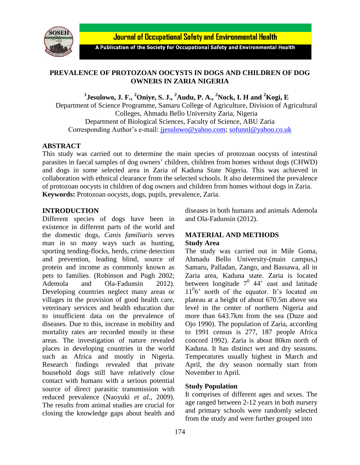

Journal of Occupational Safety and Environmental Health

A Publication of the Society for Occupational Safety and Environmental Health

# **PREVALENCE OF PROTOZOAN OOCYSTS IN DOGS AND CHILDREN OF DOG OWNERS IN ZARIA NIGERIA**

**1 Jesulowo, J. F., <sup>2</sup>Oniye, S. J., <sup>2</sup>Audu, P. A., <sup>2</sup>Nock, I. H and <sup>2</sup>Kogi, E**

Department of Science Programme, Samaru College of Agriculture, Division of Agricultural Colleges, Ahmadu Bello University Zaria, Nigeria Department of Biological Sciences, Faculty of Science, ABU Zaria Corresponding Author's e-mail: [jjesulowo@yahoo.com;](mailto:jjesulowo@yahoo.com) [sofunnl@yahoo.co.uk](mailto:sofunnl@yahoo.co.uk)

## **ABSTRACT**

This study was carried out to determine the main species of protozoan oocysts of intestinal parasites in faecal samples of dog owners' children, children from homes without dogs (CHWD) and dogs in some selected area in Zaria of Kaduna State Nigeria. This was achieved in collaboration with ethnical clearance from the selected schools. It also determined the prevalence of protozoan oocysts in children of dog owners and children from homes without dogs in Zaria. **Keywords:** Protozoan *oocysts*, dogs, pupils, prevalence, Zaria.

## **INTRODUCTION**

Different species of dogs have been in existence in different parts of the world and the domestic dogs, *Canis familiaris* serves man in so many ways such as hunting, sporting tending-flocks, herds, crime detection and prevention, leading blind, source of protein and income as commonly known as pets to families. (Robinson and Pugh 2002; Ademola and Ola-Fadunsin 2012). Developing countries neglect many areas or villages in the provision of good health care, veterinary services and health education due to insufficient data on the prevalence of diseases. Due to this, increase in mobility and mortality rates are recorded mostly in these areas. The investigation of nature revealed places in developing countries in the world such as Africa and mostly in Nigeria. Research findings revealed that private household dogs still have relatively close contact with humans with a serious potential source of direct parasitic transmission with reduced prevalence (Naoyuki *et al*., 2009). The results from animal studies are crucial for closing the knowledge gaps about health and

diseases in both humans and animals Ademola and Ola-Fadunsin (2012).

# **MATERIAL AND METHODS Study Area**

The study was carried out in Mile Goma, Ahmadu Bello University-(main campus,) Samaru, Palladan, Zango, and Bassawa, all in Zaria area, Kaduna state. Zaria is located between longitude  $7^0$  44' east and latitude 11<sup>0</sup> 6' north of the equator. It's located on plateau at a height of about 670.5m above sea level in the center of northern Nigeria and more than 643.7km from the sea (Duze and Ojo 1990). The population of Zaria, according to 1991 census is 277, 187 people Africa concord 1992). Zaria is about 80km north of Kaduna. It has distinct wet and dry seasons. Temperatures usually highest in March and April, the dry season normally start from November to April.

### **Study Population**

It comprises of different ages and sexes. The age ranged between 2-12 years in both nursery and primary schools were randomly selected from the study and were further grouped into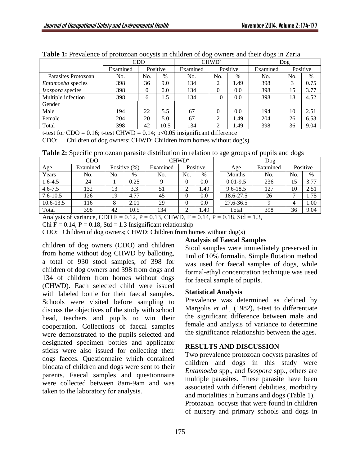|                          | <b>CDO</b> |          |      |          | CHWD <sup>x</sup> |      | Dog      |          |      |
|--------------------------|------------|----------|------|----------|-------------------|------|----------|----------|------|
|                          | Examined   | Positive |      | Examined | Positive          |      | Examined | Positive |      |
| Parasites Protozoan      | No.        | No.      | %    | No.      | No.               | $\%$ | No.      | No.      | $\%$ |
| <i>Entamoeba</i> species | 398        | 36       | 9.0  | 134      | ◠<br>∠            | .49  | 398      | 3        | 0.75 |
| <i>Isospora</i> species  | 398        | $\theta$ | 0.0  | 134      | $\theta$          | 0.0  | 398      | 15       | 3.77 |
| Multiple infection       | 398        | 6        | 1.5  | 134      | 0                 | 0.0  | 398      | 18       | 4.52 |
| Gender                   |            |          |      |          |                   |      |          |          |      |
| Male                     | 194        | 22       | 5.5  | 67       | $\Omega$          | 0.0  | 194      | 10       | 2.51 |
| Female                   | 204        | 20       | 5.0  | 67       | ◠<br>∠            | 1.49 | 204      | 26       | 6.53 |
| Total                    | 398        | 42       | 10.5 | 134      | ↑                 | .49  | 398      | 36       | 9.04 |

Table 1: Prevalence of protozoan oocysts in children of dog owners and their dogs in Zaria

t-test for  $CDO = 0.16$ ; t-test  $CHWD = 0.14$ ;  $p < 0.05$  insignificant difference

CDO: Children of dog owners; CHWD: Children from homes without  $log(s)$ 

**Table 2:** Specific protozoan parasite distribution in relation to age groups of pupils and dogs

| CDO          |          |                 |      | CHWD <sup>x</sup> |          |      |  |              | Dog      |          |      |
|--------------|----------|-----------------|------|-------------------|----------|------|--|--------------|----------|----------|------|
| Age          | Examined | Positive $(\%)$ |      | Examined          | Positive |      |  | Age          | Examined | Positive |      |
| Years        | No.      | No.             | %    | No.               | No.      | $\%$ |  | Months       | No.      | No.      | %    |
| 1.6-4.5      | 24       |                 | 0.25 |                   | 0        | 0.0  |  | $0.01 - 9.5$ | 236      | 15       | 3.77 |
| $4.6 - 7.5$  | 132      | 13              | 3.3  | 51                |          | 1.49 |  | $9.6 - 18.5$ | 127      | 10       | 2.51 |
| $7.6 - 10.5$ | 126      | 19              | 4.77 | 45                |          | 0.0  |  | 18.6-27.5    | 26       |          | 1.75 |
| 10.6-13.5    | 116      | 8               | 2.01 | 29                |          | 0.0  |  | 27.6-36.5    |          | 4        | 1.00 |
| Total        | 398      | 42              | 10.5 | 134               |          | 1.49 |  | Total        | 398      | 36       | 9.04 |

Analysis of variance, CDO F = 0.12, P = 0.13, CHWD, F = 0.14, P = 0.18, Std = 1.3,

Chi F =  $0.14$ , P =  $0.18$ , Std = 1.3 Insignificant relationship

CDO: Children of dog owners; CHWD: Children from homes without dog(s)

children of dog owners (CDO) and children from home without dog CHWD by balloting, a total of 930 stool samples, of 398 for children of dog owners and 398 from dogs and 134 of children from homes without dogs (CHWD). Each selected child were issued with labeled bottle for their faecal samples. Schools were visited before sampling to discuss the objectives of the study with school head, teachers and pupils to win their cooperation. Collections of faecal samples were demonstrated to the pupils selected and designated specimen bottles and applicator sticks were also issued for collecting their dogs faeces. Questionnaire which contained biodata of children and dogs were sent to their parents. Faecal samples and questionnaire were collected between 8am-9am and was taken to the laboratory for analysis.

# **Analysis of Faecal Samples**

Stool samples were immediately preserved in 1ml of 10% formalin. Simple flotation method was used for faecal samples of dogs, while formal-ethyl concentration technique was used for faecal sample of pupils.

### **Statistical Analysis**

Prevalence was determined as defined by Margolis *et al.,* (1982), t-test to differentiate the significant difference between male and female and analysis of variance to determine the significance relationship between the ages.

### **RESULTS AND DISCUSSION**

Two prevalence protozoan oocysts parasites of children and dogs in this study were *Entamoeba* spp., and *Isospora* spp., others are multiple parasites. These parasite have been associated with different debilities, morbidity and mortalities in humans and dogs (Table 1). Protozoan oocysts that were found in children of nursery and primary schools and dogs in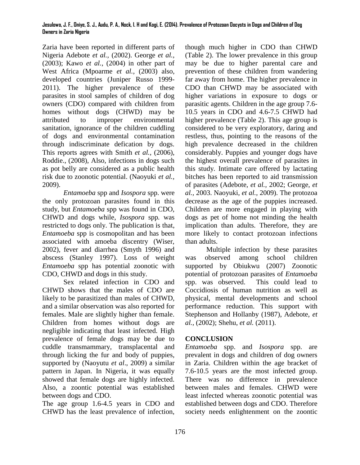#### **Jesulowo, J. F., Oniye, S. J., Audu, P. A., Nock, I. H and Kogi, E. (2014). Prevalence of Protozoan Oocysts in Dogs and Children of Dog Owners in Zaria Nigeria**

Zaria have been reported in different parts of Nigeria Adebote *et al.,* (2002). George *et al.,* (2003); Kawo *et al.*, (2004) in other part of West Africa (Mpoarme *et al.,* (2003) also, developed countries (Juniper Russo 1999- 2011). The higher prevalence of these parasites in stool samples of children of dog owners (CDO) compared with children from homes without dogs (CHWD) may be attributed to improper environmental sanitation, ignorance of the children cuddling of dogs and environmental contamination through indiscriminate defication by dogs. This reports agrees with Smith *et al.,* (2006), Roddie., (2008), Also, infections in dogs such as pot belly are considered as a public health risk due to zoonotic potential. (Naoyuki *et al.,* 2009).

*Entamoeba* spp and *Isospora* spp. were the only protozoan parasites found in this study, but *Entamoeba* spp was found in CDO, CHWD and dogs while, *Isospora* spp*.* was restricted to dogs only. The publication is that, *Entamoeba* spp is cosmopolitan and has been associated with amoeba discentry (Wiser, 2002), fever and diarrhea (Smyth 1996) and abscess (Stanley 1997). Loss of weight *Entamoeba* spp has potential zoonotic with CDO, CHWD and dogs in this study.

Sex related infection in CDO and CHWD shows that the males of CDO are likely to be parasitized than males of CHWD, and a similar observation was also reported for females. Male are slightly higher than female. Children from homes without dogs are negligible indicating that least infected. High prevalence of female dogs may be due to cuddle transmammary, transplacental and through licking the fur and body of puppies, supported by (Naoyutu *et al*., 2009) a similar pattern in Japan. In Nigeria, it was equally showed that female dogs are highly infected. Also, a zoontic potential was established between dogs and CDO.

The age group 1.6-4.5 years in CDO and CHWD has the least prevalence of infection,

though much higher in CDO than CHWD (Table 2). The lower prevalence in this group may be due to higher parental care and prevention of these children from wandering far away from home. The higher prevalence in CDO than CHWD may be associated with higher variations in exposure to dogs or parasitic agents. Children in the age group 7.6- 10.5 years in CDO and 4.6-7.5 CHWD had higher prevalence (Table 2). This age group is considered to be very exploratory, daring and restless, thus, pointing to the reasons of the high prevalence decreased in the children considerably. Puppies and younger dogs have the highest overall prevalence of parasites in this study. Intimate care offered by lactating bitches has been reported to aid transmission of parasites (Adebote, *et al.,* 2002; George, *et al.,* 2003. Naoyuki, *et al.,* 2009). The protozoa decrease as the age of the puppies increased. Children are more engaged in playing with dogs as pet of home not minding the health implication than adults. Therefore, they are more likely to contact protozoan infections than adults.

Multiple infection by these parasites was observed among school children supported by Obiukwu (2007) Zoonotic potential of protozoan parasites of *Entamoeba* spp. was observed. This could lead to Coccidiosis of human nutrition as well as physical, mental developments and school performance reduction. This support with Stephenson and Hollanby (1987), Adebote, *et al.,* (2002); Shehu, *et al.* (2011).

### **CONCLUSION**

*Entamoeba* spp. and *Isospora* spp. are prevalent in dogs and children of dog owners in Zaria. Children within the age bracket of 7.6-10.5 years are the most infected group. There was no difference in prevalence between males and females. CHWD were least infected whereas zoonotic potential was established between dogs and CDO. Therefore society needs enlightenment on the zoontic